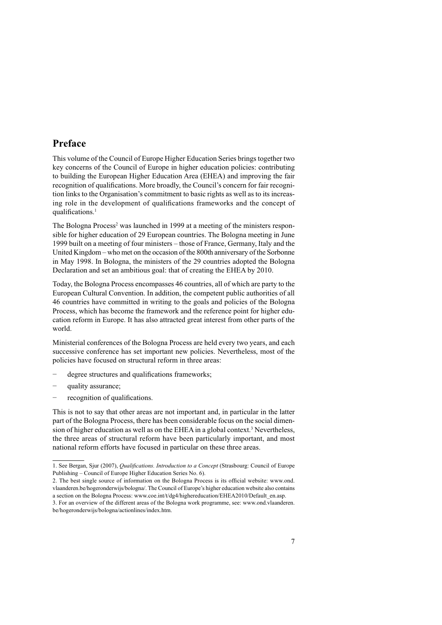## **Preface**

This volume of the Council of Europe Higher Education Series brings together two key concerns of the Council of Europe in higher education policies: contributing to building the European Higher Education Area (EHEA) and improving the fair recognition of qualifications. More broadly, the Council's concern for fair recogni tion links to the Organisation's commitment to basic rights as well as to its increas ing role in the development of qualifications frameworks and the concept of qualifications.<sup>1</sup>

The Bologna Process<sup>2</sup> was launched in 1999 at a meeting of the ministers responsible for higher education of 29 European countries. The Bologna meeting in June 1999 built on a meeting of four ministers – those of France, Germany, Italy and the United Kingdom – who met on the occasion of the 800th anniversary of the Sorbonne in May 1998. In Bologna, the ministers of the 29 countries adopted the Bologna Declaration and set an ambitious goal: that of creating the EHEA by 2010.

Today, the Bologna Process encompasses 46 countries, all of which are party to the European Cultural Convention. In addition, the competent public authorities of all 46 countries have committed in writing to the goals and policies of the Bologna Process, which has become the framework and the reference point for higher edu cation reform in Europe. It has also attracted great interest from other parts of the world.

Ministerial conferences of the Bologna Process are held every two years, and each successive conference has set important new policies. Nevertheless, most of the policies have focused on structural reform in three areas:

- degree structures and qualifications frameworks;
- quality assurance;
- recognition of qualifications.

This is not to say that other areas are not important and, in particular in the latter part of the Bologna Process, there has been considerable focus on the social dimen sion of higher education as well as on the EHEA in a global context.<sup>3</sup> Nevertheless, the three areas of structural reform have been particularly important, and most national reform efforts have focused in particular on these three areas.

<sup>1.</sup> See Bergan, Sjur (2007), *Qualifications. Introduction to a Concept* (Strasbourg: Council of Europe Publishing – Council of Europe Higher Education Series No. 6).

<sup>2.</sup> The best single source of information on the Bologna Process is its official website: www.ond. vlaanderen.be/hogeronderwijs/bologna/. The Council of Europe's higher education website also contains a section on the Bologna Process: www.coe.int/t/dg4/highereducation/EHEA2010/Default\_en.asp.

<sup>3.</sup> For an overview of the different areas of the Bologna work programme, see: www.ond.vlaanderen. be/hogeronderwijs/bologna/actionlines/index.htm.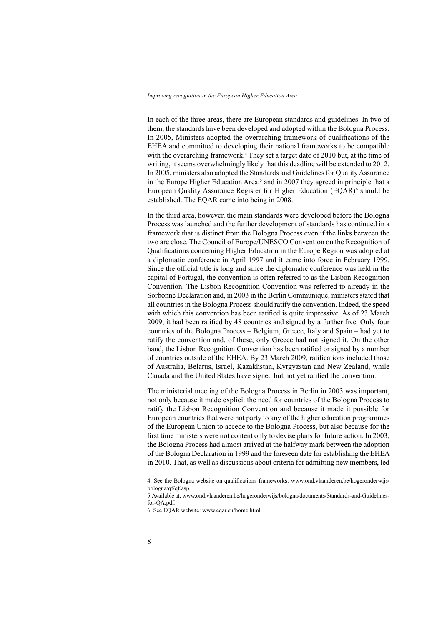In each of the three areas, there are European standards and guidelines. In two of them, the standards have been developed and adopted within the Bologna Process. In 2005, Ministers adopted the overarching framework of qualifications of the EHEA and committed to developing their national frameworks to be compatible with the overarching framework.<sup>4</sup> They set a target date of 2010 but, at the time of writing, it seems overwhelmingly likely that this deadline will be extended to 2012. In 2005, ministers also adopted the Standards and Guidelines for Quality Assurance in the Europe Higher Education Area, $5$  and in 2007 they agreed in principle that a European Quality Assurance Register for Higher Education (EQAR)<sup>6</sup> should be established. The EQAR came into being in 2008.

In the third area, however, the main standards were developed before the Bologna Process was launched and the further development of standards has continued in a framework that is distinct from the Bologna Process even if the links between the two are close. The Council of Europe/UNESCO Convention on the Recognition of Qualifications concerning Higher Education in the Europe Region was adopted at a diplomatic conference in April 1997 and it came into force in February 1999. Since the official title is long and since the diplomatic conference was held in the capital of Portugal, the convention is often referred to as the Lisbon Recognition Convention. The Lisbon Recognition Convention was referred to already in the Sorbonne Declaration and, in 2003 in the Berlin Communiqué, ministers stated that all countries in the Bologna Process should ratify the convention. Indeed, the speed with which this convention has been ratified is quite impressive. As of 23 March 2009, it had been ratified by 48 countries and signed by a further five. Only four countries of the Bologna Process – Belgium, Greece, Italy and Spain – had yet to ratify the convention and, of these, only Greece had not signed it. On the other hand, the Lisbon Recognition Convention has been ratified or signed by a number of countries outside of the EHEA. By 23 March 2009, ratifications included those of Australia, Belarus, Israel, Kazakhstan, Kyrgyzstan and New Zealand, while Canada and the United States have signed but not yet ratified the convention.

The ministerial meeting of the Bologna Process in Berlin in 2003 was important, not only because it made explicit the need for countries of the Bologna Process to ratify the Lisbon Recognition Convention and because it made it possible for European countries that were not party to any of the higher education programmes of the European Union to accede to the Bologna Process, but also because for the first time ministers were not content only to devise plans for future action. In 2003, the Bologna Process had almost arrived at the halfway mark between the adoption of the Bologna Declaration in 1999 and the foreseen date for establishing the EHEA in 2010. That, as well as discussions about criteria for admitting new members, led

<sup>4.</sup> See the Bologna website on qualifications frameworks: www.ond.vlaanderen.be/hogeronderwijs/ bologna/qf/qf.asp.

<sup>5.</sup>Available at: www.ond.vlaanderen.be/hogeronderwijs/bologna/documents/Standards-and-Guidelines for-QA.pdf.

<sup>6.</sup> See EQAR website: www.eqar.eu/home.html.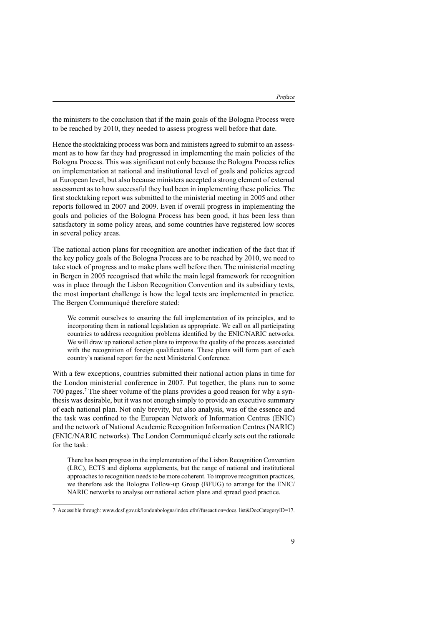the ministers to the conclusion that if the main goals of the Bologna Process were to be reached by 2010, they needed to assess progress well before that date.

Hence the stocktaking process was born and ministers agreed to submit to an assess ment as to how far they had progressed in implementing the main policies of the Bologna Process. This was significant not only because the Bologna Process relies on implementation at national and institutional level of goals and policies agreed at European level, but also because ministers accepted a strong element of external assessment as to how successful they had been in implementing these policies. The first stocktaking report was submitted to the ministerial meeting in 2005 and other reports followed in 2007 and 2009. Even if overall progress in implementing the goals and policies of the Bologna Process has been good, it has been less than satisfactory in some policy areas, and some countries have registered low scores in several policy areas.

The national action plans for recognition are another indication of the fact that if the key policy goals of the Bologna Process are to be reached by 2010, we need to take stock of progress and to make plans well before then. The ministerial meeting in Bergen in 2005 recognised that while the main legal framework for recognition was in place through the Lisbon Recognition Convention and its subsidiary texts, the most important challenge is how the legal texts are implemented in practice. The Bergen Communiqué therefore stated:

We commit ourselves to ensuring the full implementation of its principles, and to incorporating them in national legislation as appropriate. We call on all participating countries to address recognition problems identified by the ENIC/NARIC networks. We will draw up national action plans to improve the quality of the process associated with the recognition of foreign qualifications. These plans will form part of each country's national report for the next Ministerial Conference.

With a few exceptions, countries submitted their national action plans in time for the London ministerial conference in 2007. Put together, the plans run to some 700 pages.<sup>7</sup> The sheer volume of the plans provides a good reason for why a syn thesis was desirable, but it was not enough simply to provide an executive summary of each national plan. Not only brevity, but also analysis, was of the essence and the task was confined to the European Network of Information Centres (ENIC) and the network of National Academic Recognition Information Centres (NARIC) (ENIC/NARIC networks). The London Communiqué clearly sets out the rationale for the task:

There has been progress in the implementation of the Lisbon Recognition Convention (LRC), ECTS and diploma supplements, but the range of national and institutional approaches to recognition needs to be more coherent. To improve recognition practices, we therefore ask the Bologna Follow-up Group (BFUG) to arrange for the ENIC/ NARIC networks to analyse our national action plans and spread good practice.

<sup>7.</sup> Accessible through: www.dcsf.gov.uk/londonbologna/index.cfm?fuseaction=docs. list&DocCategoryID=17.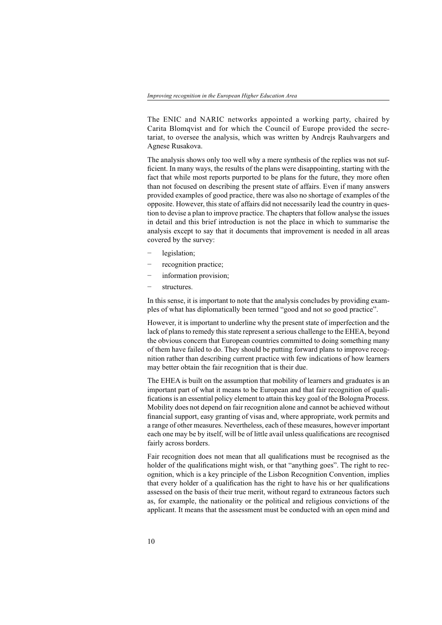The ENIC and NARIC networks appointed a working party, chaired by Carita Blomqvist and for which the Council of Europe provided the secre tariat, to oversee the analysis, which was written by Andrejs Rauhvargers and Agnese Rusakova.

The analysis shows only too well why a mere synthesis of the replies was not suf ficient. In many ways, the results of the plans were disappointing, starting with the fact that while most reports purported to be plans for the future, they more often than not focused on describing the present state of affairs. Even if many answers provided examples of good practice, there was also no shortage of examples of the opposite. However, this state of affairs did not necessarily lead the country in ques tion to devise a plan to improve practice. The chapters that follow analyse the issues in detail and this brief introduction is not the place in which to summarise the analysis except to say that it documents that improvement is needed in all areas covered by the survey:

- legislation;
- recognition practice;
- information provision;
- structures.

In this sense, it is important to note that the analysis concludes by providing exam ples of what has diplomatically been termed "good and not so good practice".

However, it is important to underline why the present state of imperfection and the lack of plans to remedy this state represent a serious challenge to the EHEA, beyond the obvious concern that European countries committed to doing something many of them have failed to do. They should be putting forward plans to improve recog nition rather than describing current practice with few indications of how learners may better obtain the fair recognition that is their due.

The EHEA is built on the assumption that mobility of learners and graduates is an important part of what it means to be European and that fair recognition of quali fications is an essential policy element to attain this key goal of the Bologna Process. Mobility does not depend on fair recognition alone and cannot be achieved without financial support, easy granting of visas and, where appropriate, work permits and a range of other measures. Nevertheless, each of these measures, however important each one may be by itself, will be of little avail unless qualifications are recognised fairly across borders.

Fair recognition does not mean that all qualifications must be recognised as the holder of the qualifications might wish, or that "anything goes". The right to recognition, which is a key principle of the Lisbon Recognition Convention, implies that every holder of a qualification has the right to have his or her qualifications assessed on the basis of their true merit, without regard to extraneous factors such as, for example, the nationality or the political and religious convictions of the applicant. It means that the assessment must be conducted with an open mind and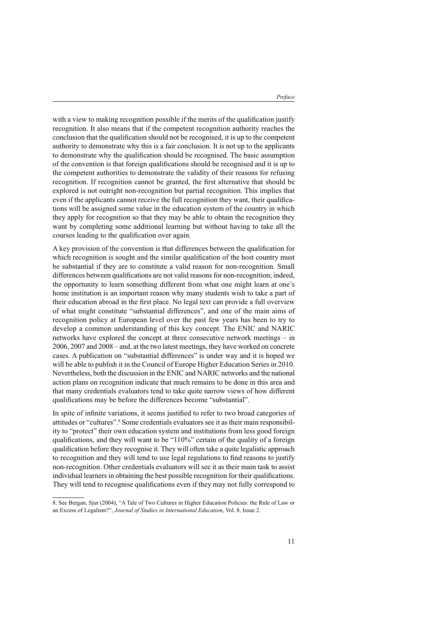with a view to making recognition possible if the merits of the qualification justify recognition. It also means that if the competent recognition authority reaches the conclusion that the qualification should not be recognised, it is up to the competent authority to demonstrate why this is a fair conclusion. It is not up to the applicants to demonstrate why the qualification should be recognised. The basic assumption of the convention is that foreign qualifications should be recognised and it is up to the competent authorities to demonstrate the validity of their reasons for refusing recognition. If recognition cannot be granted, the first alternative that should be explored is not outright non-recognition but partial recognition. This implies that even if the applicants cannot receive the full recognition they want, their qualifica tions will be assigned some value in the education system of the country in which they apply for recognition so that they may be able to obtain the recognition they want by completing some additional learning but without having to take all the courses leading to the qualification over again.

A key provision of the convention is that differences between the qualification for which recognition is sought and the similar qualification of the host country must be substantial if they are to constitute a valid reason for non-recognition. Small differences between qualifications are not valid reasons for non-recognition; indeed, the opportunity to learn something different from what one might learn at one's home institution is an important reason why many students wish to take a part of their education abroad in the first place. No legal text can provide a full overview of what might constitute "substantial differences", and one of the main aims of recognition policy at European level over the past few years has been to try to develop a common understanding of this key concept. The ENIC and NARIC networks have explored the concept at three consecutive network meetings – in 2006, 2007 and 2008 – and, at the two latest meetings, they have worked on concrete cases. A publication on "substantial differences" is under way and it is hoped we will be able to publish it in the Council of Europe Higher Education Series in 2010. Nevertheless, both the discussion in the ENIC and NARIC networks and the national action plans on recognition indicate that much remains to be done in this area and that many credentials evaluators tend to take quite narrow views of how different qualifications may be before the differences become "substantial".

In spite of infinite variations, it seems justified to refer to two broad categories of attitudes or "cultures".8Some credentials evaluators see it as their main responsibil ity to "protect" their own education system and institutions from less good foreign qualifications, and they will want to be "110%" certain of the quality of a foreign qualification before they recognise it. They will often take a quite legalistic approach to recognition and they will tend to use legal regulations to find reasons to justify non-recognition. Other credentials evaluators will see it as their main task to assist individual learners in obtaining the best possible recognition for their qualifications. They will tend to recognise qualifications even if they may not fully correspond to

<sup>8.</sup> See Bergan, Sjur (2004), "A Tale of Two Cultures in Higher Education Policies: the Rule of Law or an Excess of Legalism?", *Journal of Studies in International Education*, Vol. 8, Issue 2.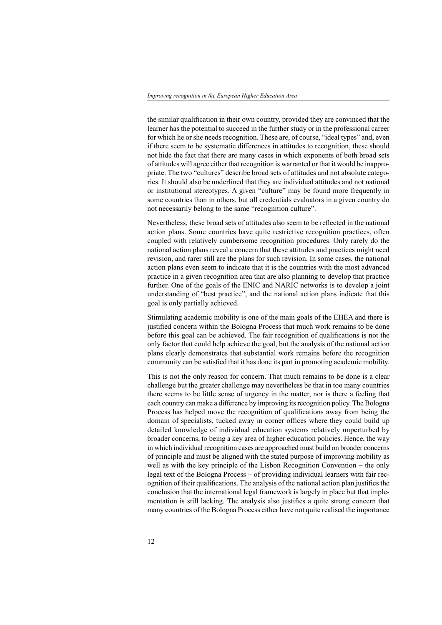the similar qualification in their own country, provided they are convinced that the learner has the potential to succeed in the further study or in the professional career for which he or she needs recognition. These are, of course, "ideal types" and, even if there seem to be systematic differences in attitudes to recognition, these should not hide the fact that there are many cases in which exponents of both broad sets of attitudes will agree either that recognition is warranted or that it would be inappro priate. The two "cultures" describe broad sets of attitudes and not absolute catego ries. It should also be underlined that they are individual attitudes and not national or institutional stereotypes. A given "culture" may be found more frequently in some countries than in others, but all credentials evaluators in a given country do not necessarily belong to the same "recognition culture".

Nevertheless, these broad sets of attitudes also seem to be reflected in the national action plans. Some countries have quite restrictive recognition practices, often coupled with relatively cumbersome recognition procedures. Only rarely do the national action plans reveal a concern that these attitudes and practices might need revision, and rarer still are the plans for such revision. In some cases, the national action plans even seem to indicate that it is the countries with the most advanced practice in a given recognition area that are also planning to develop that practice further. One of the goals of the ENIC and NARIC networks is to develop a joint understanding of "best practice", and the national action plans indicate that this goal is only partially achieved.

Stimulating academic mobility is one of the main goals of the EHEA and there is justified concern within the Bologna Process that much work remains to be done before this goal can be achieved. The fair recognition of qualifications is not the only factor that could help achieve the goal, but the analysis of the national action plans clearly demonstrates that substantial work remains before the recognition community can be satisfied that it has done its part in promoting academic mobility.

This is not the only reason for concern. That much remains to be done is a clear challenge but the greater challenge may nevertheless be that in too many countries there seems to be little sense of urgency in the matter, nor is there a feeling that each country can make a difference by improving its recognition policy. The Bologna Process has helped move the recognition of qualifications away from being the domain of specialists, tucked away in corner offices where they could build up detailed knowledge of individual education systems relatively unperturbed by broader concerns, to being a key area of higher education policies. Hence, the way in which individual recognition cases are approached must build on broader concerns of principle and must be aligned with the stated purpose of improving mobility as well as with the key principle of the Lisbon Recognition Convention – the only legal text of the Bologna Process – of providing individual learners with fair rec ognition of their qualifications. The analysis of the national action plan justifies the conclusion that the international legal framework is largely in place but that imple mentation is still lacking. The analysis also justifies a quite strong concern that many countries of the Bologna Process either have not quite realised the importance